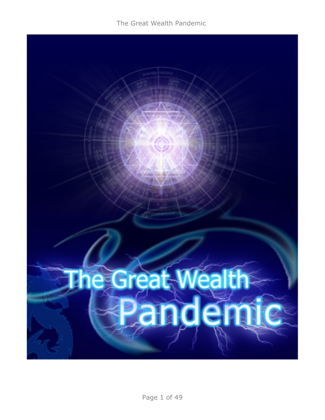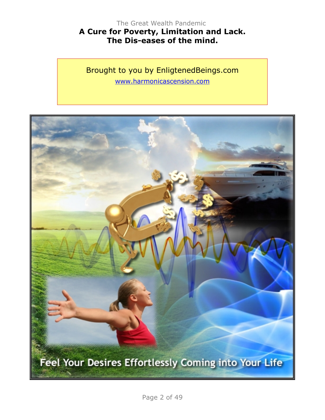# The Great Wealth Pandemic **A Cure for Poverty, Limitation and Lack. The Dis-eases of the mind.**

Brought to you by EnligtenedBeings.com [www.harmonicascension.com](http://www.harmonicascension.com/?go=9b6a48a4)

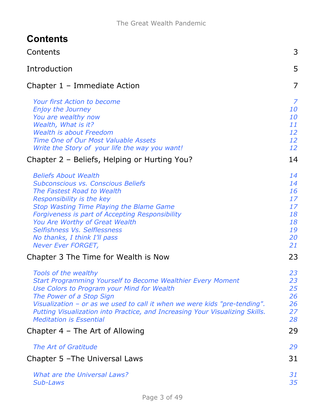| <b>Contents</b>                                                                                                                                                                                                                                                                                                                                                                 |                                                          |
|---------------------------------------------------------------------------------------------------------------------------------------------------------------------------------------------------------------------------------------------------------------------------------------------------------------------------------------------------------------------------------|----------------------------------------------------------|
| Contents                                                                                                                                                                                                                                                                                                                                                                        | 3                                                        |
| Introduction                                                                                                                                                                                                                                                                                                                                                                    | 5                                                        |
| Chapter 1 - Immediate Action                                                                                                                                                                                                                                                                                                                                                    | $\overline{7}$                                           |
| <b>Your first Action to become</b><br><b>Enjoy the Journey</b><br>You are wealthy now<br>Wealth, What is it?<br><b>Wealth is about Freedom</b><br>Time One of Our Most Valuable Assets<br>Write the Story of your life the way you want!                                                                                                                                        | $\overline{7}$<br>10<br>10<br>11<br>12<br>12<br>12       |
| Chapter 2 – Beliefs, Helping or Hurting You?                                                                                                                                                                                                                                                                                                                                    | 14                                                       |
| <b>Beliefs About Wealth</b><br><b>Subconscious vs. Conscious Beliefs</b><br>The Fastest Road to Wealth<br>Responsibility is the key<br><b>Stop Wasting Time Playing the Blame Game</b><br><b>Forgiveness is part of Accepting Responsibility</b><br>You Are Worthy of Great Wealth<br>Selfishness Vs. Selflessness<br>No thanks, I think I'll pass<br><b>Never Ever FORGET,</b> | 14<br>14<br>16<br>17<br>17<br>18<br>18<br>19<br>20<br>21 |
| Chapter 3 The Time for Wealth is Now                                                                                                                                                                                                                                                                                                                                            | 23                                                       |
| Tools of the wealthy<br><b>Start Programming Yourself to Become Wealthier Every Moment</b><br>Use Colors to Program your Mind for Wealth<br>The Power of a Stop Sign<br>Visualization - or as we used to call it when we were kids "pre-tending".<br>Putting Visualization into Practice, and Increasing Your Visualizing Skills.<br><b>Meditation is Essential</b>             | 23<br>23<br>25<br>26<br>26<br>27<br>28                   |
| Chapter $4$ – The Art of Allowing                                                                                                                                                                                                                                                                                                                                               | 29                                                       |
| The Art of Gratitude<br>Chapter 5 - The Universal Laws                                                                                                                                                                                                                                                                                                                          | 29<br>31                                                 |
| <b>What are the Universal Laws?</b><br>Sub-Laws                                                                                                                                                                                                                                                                                                                                 | 31<br>35                                                 |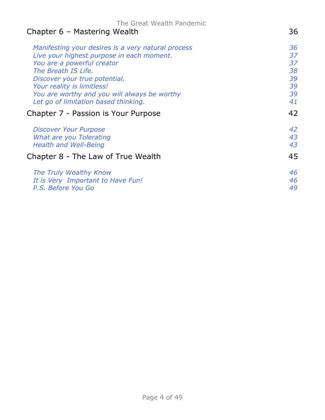| The Great Wealth Pandemic<br>Chapter 6 – Mastering Wealth | 36 |
|-----------------------------------------------------------|----|
| Manifesting your desires is a very natural process        | 36 |
| Live your highest purpose in each moment.                 | 37 |
| You are a powerful creator                                | 37 |
| The Breath IS Life.                                       | 38 |
| Discover your true potential.                             | 39 |
| Your reality is limitless!                                | 39 |
| You are worthy and you will always be worthy              | 39 |
| Let go of limitation based thinking.                      | 41 |
| Chapter 7 - Passion is Your Purpose                       | 42 |
| <b>Discover Your Purpose</b>                              | 42 |
| What are you Tolerating                                   | 43 |
| <b>Health and Well-Being</b>                              | 43 |
| Chapter 8 - The Law of True Wealth                        | 45 |
| The Truly Wealthy Know                                    | 46 |
| It is Very Important to Have Fun!                         | 46 |
| P.S. Before You Go                                        | 49 |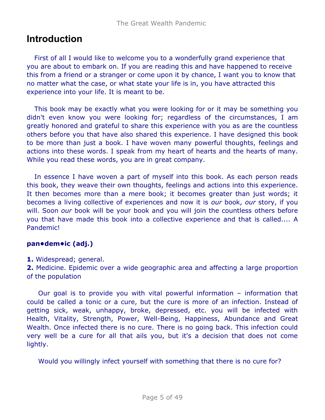# **Introduction**

First of all I would like to welcome you to a wonderfully grand experience that you are about to embark on. If you are reading this and have happened to receive this from a friend or a stranger or come upon it by chance, I want you to know that no matter what the case, or what state your life is in, you have attracted this experience into your life. It is meant to be.

This book may be exactly what you were looking for or it may be something you didn't even know you were looking for; regardless of the circumstances, I am greatly honored and grateful to share this experience with you as are the countless others before you that have also shared this experience. I have designed this book to be more than just a book. I have woven many powerful thoughts, feelings and actions into these words. I speak from my heart of hearts and the hearts of many. While you read these words, you are in great company.

In essence I have woven a part of myself into this book. As each person reads this book, they weave their own thoughts, feelings and actions into this experience. It then becomes more than a mere book; it becomes greater than just words; it becomes a living collective of experiences and now it is *our* book, *our* story, if you will. Soon *our* book will be your book and you will join the countless others before you that have made this book into a collective experience and that is called.... A Pandemic!

## **pan•dem•ic (adj.)**

**1.** Widespread; general.

**2.** Medicine. Epidemic over a wide geographic area and affecting a large proportion of the population

Our goal is to provide you with vital powerful information – information that could be called a tonic or a cure, but the cure is more of an infection. Instead of getting sick, weak, unhappy, broke, depressed, etc. you will be infected with Health, Vitality, Strength, Power, Well-Being, Happiness, Abundance and Great Wealth. Once infected there is no cure. There is no going back. This infection could very well be a cure for all that ails you, but it's a decision that does not come lightly.

Would you willingly infect yourself with something that there is no cure for?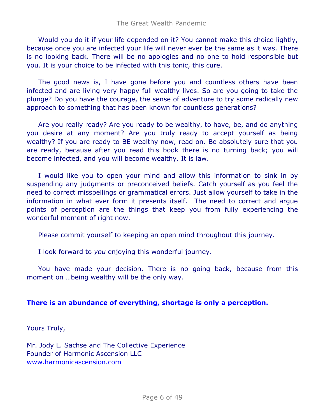Would you do it if your life depended on it? You cannot make this choice lightly, because once you are infected your life will never ever be the same as it was. There is no looking back. There will be no apologies and no one to hold responsible but you. It is your choice to be infected with this tonic, this cure.

The good news is, I have gone before you and countless others have been infected and are living very happy full wealthy lives. So are you going to take the plunge? Do you have the courage, the sense of adventure to try some radically new approach to something that has been known for countless generations?

Are you really ready? Are you ready to be wealthy, to have, be, and do anything you desire at any moment? Are you truly ready to accept yourself as being wealthy? If you are ready to BE wealthy now, read on. Be absolutely sure that you are ready, because after you read this book there is no turning back; you will become infected, and you will become wealthy. It is law.

I would like you to open your mind and allow this information to sink in by suspending any judgments or preconceived beliefs. Catch yourself as you feel the need to correct misspellings or grammatical errors. Just allow yourself to take in the information in what ever form it presents itself. The need to correct and argue points of perception are the things that keep you from fully experiencing the wonderful moment of right now.

Please commit yourself to keeping an open mind throughout this journey.

I look forward to *you* enjoying this wonderful journey.

You have made your decision. There is no going back, because from this moment on …being wealthy will be the only way.

## **There is an abundance of everything, shortage is only a perception.**

Yours Truly,

Mr. Jody L. Sachse and The Collective Experience Founder of Harmonic Ascension LLC [www.harmonicascension.com](http://www.harmonicascension.com/?go=9b6a48a4)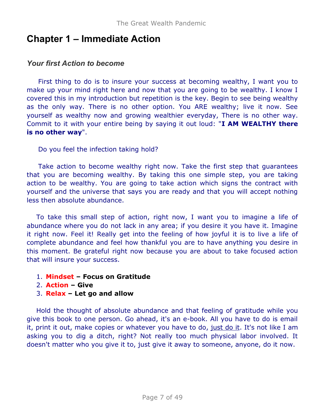# **Chapter 1 – Immediate Action**

## *Your first Action to become*

First thing to do is to insure your success at becoming wealthy, I want you to make up your mind right here and now that you are going to be wealthy. I know I covered this in my introduction but repetition is the key. Begin to see being wealthy as the only way. There is no other option. You ARE wealthy; live it now. See yourself as wealthy now and growing wealthier everyday, There is no other way. Commit to it with your entire being by saying it out loud: "**I AM WEALTHY there is no other way**".

Do you feel the infection taking hold?

Take action to become wealthy right now. Take the first step that guarantees that you are becoming wealthy. By taking this one simple step, you are taking action to be wealthy. You are going to take action which signs the contract with yourself and the universe that says you are ready and that you will accept nothing less then absolute abundance.

To take this small step of action, right now, I want you to imagine a life of abundance where you do not lack in any area; if you desire it you have it. Imagine it right now. Feel it! Really get into the feeling of how joyful it is to live a life of complete abundance and feel how thankful you are to have anything you desire in this moment. Be grateful right now because you are about to take focused action that will insure your success.

- 1. **Mindset Focus on Gratitude**
- 2. **Action Give**
- 3. **Relax Let go and allow**

Hold the thought of absolute abundance and that feeling of gratitude while you give this book to one person. Go ahead, it's an e-book. All you have to do is email it, print it out, make copies or whatever you have to do, just do it. It's not like I am asking you to dig a ditch, right? Not really too much physical labor involved. It doesn't matter who you give it to, just give it away to someone, anyone, do it now.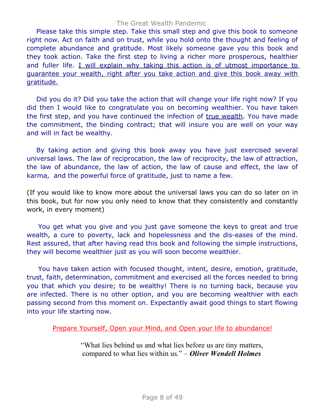#### The Great Wealth Pandemic

Please take this simple step. Take this small step and give this book to someone right now. Act on faith and on trust, while you hold onto the thought and feeling of complete abundance and gratitude. Most likely someone gave you this book and they took action. Take the first step to living a richer more prosperous, healthier and fuller life. I will explain why taking this action is of utmost importance to guarantee your wealth, right after you take action and give this book away with gratitude.

Did you do it? Did you take the action that will change your life right now? If you did then I would like to congratulate you on becoming wealthier. You have taken the first step, and you have continued the infection of true wealth. You have made the commitment, the binding contract; that will insure you are well on your way and will in fact be wealthy.

By taking action and giving this book away you have just exercised several universal laws. The law of reciprocation, the law of reciprocity, the law of attraction, the law of abundance, the law of action, the law of cause and effect, the law of karma, and the powerful force of gratitude, just to name a few.

(If you would like to know more about the universal laws you can do so later on in this book, but for now you only need to know that they consistently and constantly work, in every moment)

You get what you give and you just gave someone the keys to great and true wealth, a cure to poverty, lack and hopelessness and the dis-eases of the mind. Rest assured, that after having read this book and following the simple instructions, they will become wealthier just as you will soon become wealthier.

You have taken action with focused thought, intent, desire, emotion, gratitude, trust, faith, determination, commitment and exercised all the forces needed to bring you that which you desire; to be wealthy! There is no turning back, because you are infected. There is no other option, and you are becoming wealthier with each passing second from this moment on. Expectantly await good things to start flowing into your life starting now.

Prepare Yourself, Open your Mind, and Open your life to abundance!

"What lies behind us and what lies before us are tiny matters, compared to what lies within us." – *Oliver Wendell Holmes*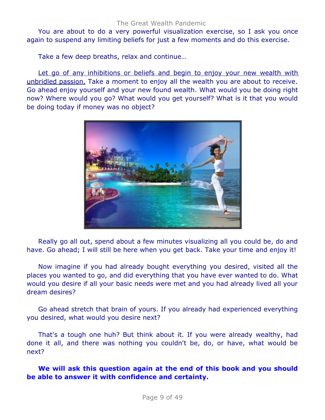You are about to do a very powerful visualization exercise, so I ask you once again to suspend any limiting beliefs for just a few moments and do this exercise.

Take a few deep breaths, relax and continue…

Let go of any inhibitions or beliefs and begin to enjoy your new wealth with unbridled passion. Take a moment to enjoy all the wealth you are about to receive. Go ahead enjoy yourself and your new found wealth. What would you be doing right now? Where would you go? What would you get yourself? What is it that you would be doing today if money was no object?



Really go all out, spend about a few minutes visualizing all you could be, do and have. Go ahead; I will still be here when you get back. Take your time and enjoy it!

Now imagine if you had already bought everything you desired, visited all the places you wanted to go, and did everything that you have ever wanted to do. What would you desire if all your basic needs were met and you had already lived all your dream desires?

Go ahead stretch that brain of yours. If you already had experienced everything you desired, what would you desire next?

That's a tough one huh? But think about it. If you were already wealthy, had done it all, and there was nothing you couldn't be, do, or have, what would be next?

**We will ask this question again at the end of this book and you should be able to answer it with confidence and certainty.**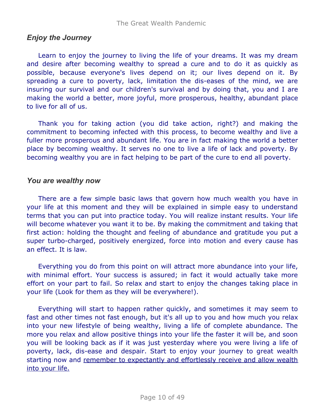# *Enjoy the Journey*

Learn to enjoy the journey to living the life of your dreams. It was my dream and desire after becoming wealthy to spread a cure and to do it as quickly as possible, because everyone's lives depend on it; our lives depend on it. By spreading a cure to poverty, lack, limitation the dis-eases of the mind, we are insuring our survival and our children's survival and by doing that, you and I are making the world a better, more joyful, more prosperous, healthy, abundant place to live for all of us.

Thank you for taking action (you did take action, right?) and making the commitment to becoming infected with this process, to become wealthy and live a fuller more prosperous and abundant life. You are in fact making the world a better place by becoming wealthy. It serves no one to live a life of lack and poverty. By becoming wealthy you are in fact helping to be part of the cure to end all poverty.

### *You are wealthy now*

There are a few simple basic laws that govern how much wealth you have in your life at this moment and they will be explained in simple easy to understand terms that you can put into practice today. You will realize instant results. Your life will become whatever you want it to be. By making the commitment and taking that first action: holding the thought and feeling of abundance and gratitude you put a super turbo-charged, positively energized, force into motion and every cause has an effect. It is law.

Everything you do from this point on will attract more abundance into your life, with minimal effort. Your success is assured; in fact it would actually take more effort on your part to fail. So relax and start to enjoy the changes taking place in your life (Look for them as they will be everywhere!).

Everything will start to happen rather quickly, and sometimes it may seem to fast and other times not fast enough, but it's all up to you and how much you relax into your new lifestyle of being wealthy, living a life of complete abundance. The more you relax and allow positive things into your life the faster it will be, and soon you will be looking back as if it was just yesterday where you were living a life of poverty, lack, dis-ease and despair. Start to enjoy your journey to great wealth starting now and remember to expectantly and effortlessly receive and allow wealth into your life.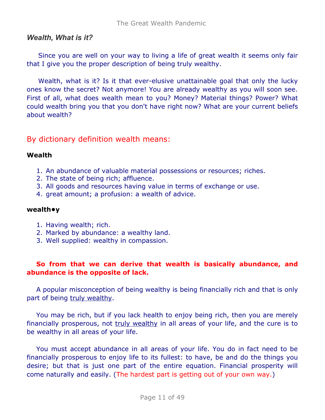## *Wealth, What is it?*

Since you are well on your way to living a life of great wealth it seems only fair that I give you the proper description of being truly wealthy.

Wealth, what is it? Is it that ever-elusive unattainable goal that only the lucky ones know the secret? Not anymore! You are already wealthy as you will soon see. First of all, what does wealth mean to you? Money? Material things? Power? What could wealth bring you that you don't have right now? What are your current beliefs about wealth?

# By dictionary definition wealth means:

### **Wealth**

- 1. An abundance of valuable material possessions or resources; riches.
- 2. The state of being rich; affluence.
- 3. All goods and resources having value in terms of exchange or use.
- 4. great amount; a profusion: a wealth of advice.

### **wealth•y**

- 1. Having wealth; rich.
- 2. Marked by abundance: a wealthy land.
- 3. Well supplied: wealthy in compassion.

## **So from that we can derive that wealth is basically abundance, and abundance is the opposite of lack.**

A popular misconception of being wealthy is being financially rich and that is only part of being truly wealthy.

You may be rich, but if you lack health to enjoy being rich, then you are merely financially prosperous, not truly wealthy in all areas of your life, and the cure is to be wealthy in all areas of your life.

You must accept abundance in all areas of your life. You do in fact need to be financially prosperous to enjoy life to its fullest: to have, be and do the things you desire; but that is just one part of the entire equation. Financial prosperity will come naturally and easily. (The hardest part is getting out of your own way.)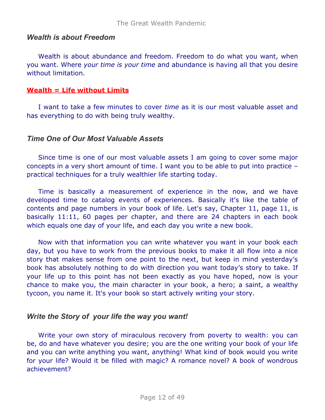## *Wealth is about Freedom*

Wealth is about abundance and freedom. Freedom to do what you want, when you want. Where *your time is your time* and abundance is having all that you desire without limitation.

### **Wealth = Life without Limits**

I want to take a few minutes to cover *time* as it is our most valuable asset and has everything to do with being truly wealthy.

## *Time One of Our Most Valuable Assets*

Since time is one of our most valuable assets I am going to cover some major concepts in a very short amount of time. I want you to be able to put into practice – practical techniques for a truly wealthier life starting today.

Time is basically a measurement of experience in the now, and we have developed time to catalog events of experiences. Basically it's like the table of contents and page numbers in your book of life. Let's say, Chapter 11, page 11, is basically 11:11, 60 pages per chapter, and there are 24 chapters in each book which equals one day of your life, and each day you write a new book.

Now with that information you can write whatever you want in your book each day, but you have to work from the previous books to make it all flow into a nice story that makes sense from one point to the next, but keep in mind yesterday's book has absolutely nothing to do with direction you want today's story to take. If your life up to this point has not been exactly as you have hoped, now is your chance to make you, the main character in your book, a hero; a saint, a wealthy tycoon, you name it. It's your book so start actively writing your story.

# *Write the Story of your life the way you want!*

Write your own story of miraculous recovery from poverty to wealth: you can be, do and have whatever you desire; you are the one writing your book of your life and you can write anything you want, anything! What kind of book would you write for your life? Would it be filled with magic? A romance novel? A book of wondrous achievement?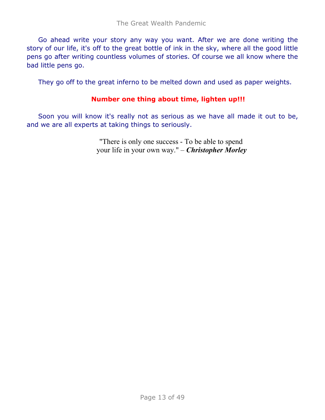Go ahead write your story any way you want. After we are done writing the story of our life, it's off to the great bottle of ink in the sky, where all the good little pens go after writing countless volumes of stories. Of course we all know where the bad little pens go.

They go off to the great inferno to be melted down and used as paper weights.

### **Number one thing about time, lighten up!!!**

Soon you will know it's really not as serious as we have all made it out to be, and we are all experts at taking things to seriously.

> "There is only one success - To be able to spend your life in your own way." – *Christopher Morley*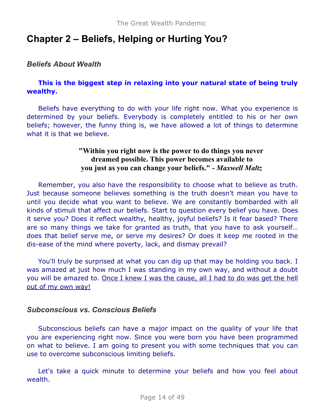# **Chapter 2 – Beliefs, Helping or Hurting You?**

# *Beliefs About Wealth*

# **This is the biggest step in relaxing into your natural state of being truly wealthy.**

Beliefs have everything to do with your life right now. What you experience is determined by your beliefs. Everybody is completely entitled to his or her own beliefs; however, the funny thing is, we have allowed a lot of things to determine what it is that we believe.

## **"Within you right now is the power to do things you never dreamed possible. This power becomes available to you just as you can change your beliefs." -** *Maxwell Maltz*

Remember, you also have the responsibility to choose what to believe as truth. Just because someone believes something is the truth doesn't mean you have to until you decide what you want to believe. We are constantly bombarded with all kinds of stimuli that affect our beliefs. Start to question every belief you have. Does it serve you? Does it reflect wealthy, healthy, joyful beliefs? Is it fear based? There are so many things we take for granted as truth, that you have to ask yourself… does that belief serve me, or serve my desires? Or does it keep me rooted in the dis-ease of the mind where poverty, lack, and dismay prevail?

You'll truly be surprised at what you can dig up that may be holding you back. I was amazed at just how much I was standing in my own way, and without a doubt you will be amazed to. Once I knew I was the cause, all I had to do was get the hell out of my own way!

## *Subconscious vs. Conscious Beliefs*

Subconscious beliefs can have a major impact on the quality of your life that you are experiencing right now. Since you were born you have been programmed on what to believe. I am going to present you with some techniques that you can use to overcome subconscious limiting beliefs.

Let's take a quick minute to determine your beliefs and how you feel about wealth.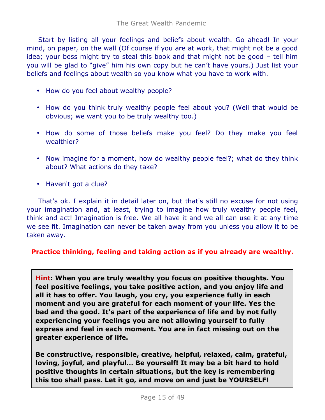Start by listing all your feelings and beliefs about wealth. Go ahead! In your mind, on paper, on the wall (Of course if you are at work, that might not be a good idea; your boss might try to steal this book and that might not be good – tell him you will be glad to "give" him his own copy but he can't have yours.) Just list your beliefs and feelings about wealth so you know what you have to work with.

- How do you feel about wealthy people?
- How do you think truly wealthy people feel about you? (Well that would be obvious; we want you to be truly wealthy too.)
- How do some of those beliefs make you feel? Do they make you feel wealthier?
- Now imagine for a moment, how do wealthy people feel?; what do they think about? What actions do they take?
- Haven't got a clue?

That's ok. I explain it in detail later on, but that's still no excuse for not using your imagination and, at least, trying to imagine how truly wealthy people feel, think and act! Imagination is free. We all have it and we all can use it at any time we see fit. Imagination can never be taken away from you unless you allow it to be taken away.

### **Practice thinking, feeling and taking action as if you already are wealthy.**

**Hint: When you are truly wealthy you focus on positive thoughts. You feel positive feelings, you take positive action, and you enjoy life and all it has to offer. You laugh, you cry, you experience fully in each moment and you are grateful for each moment of your life. Yes the bad and the good. It's part of the experience of life and by not fully experiencing your feelings you are not allowing yourself to fully express and feel in each moment. You are in fact missing out on the greater experience of life.**

**Be constructive, responsible, creative, helpful, relaxed, calm, grateful, loving, joyful, and playful… Be yourself! It may be a bit hard to hold positive thoughts in certain situations, but the key is remembering this too shall pass. Let it go, and move on and just be YOURSELF!**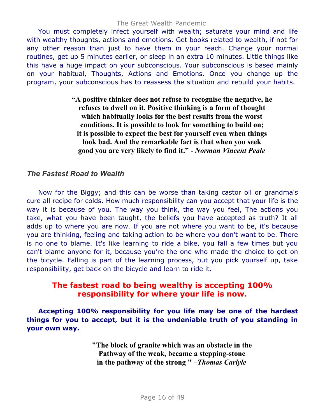#### The Great Wealth Pandemic

You must completely infect yourself with wealth; saturate your mind and life with wealthy thoughts, actions and emotions. Get books related to wealth, if not for any other reason than just to have them in your reach. Change your normal routines, get up 5 minutes earlier, or sleep in an extra 10 minutes. Little things like this have a huge impact on your subconscious. Your subconscious is based mainly on your habitual, Thoughts, Actions and Emotions. Once you change up the program, your subconscious has to reassess the situation and rebuild your habits.

> **"A positive thinker does not refuse to recognise the negative, he refuses to dwell on it. Positive thinking is a form of thought which habitually looks for the best results from the worst conditions. It is possible to look for something to build on; it is possible to expect the best for yourself even when things look bad. And the remarkable fact is that when you seek good you are very likely to find it." -** *Norman Vincent Peale*

### *The Fastest Road to Wealth*

Now for the Biggy; and this can be worse than taking castor oil or grandma's cure all recipe for colds. How much responsibility can you accept that your life is the way it is because of you. The way you think, the way you feel, The actions you take, what you have been taught, the beliefs you have accepted as truth? It all adds up to where you are now. If you are not where you want to be, it's because you are thinking, feeling and taking action to be where you don't want to be. There is no one to blame. It's like learning to ride a bike, you fall a few times but you can't blame anyone for it, because you're the one who made the choice to get on the bicycle. Falling is part of the learning process, but you pick yourself up, take responsibility, get back on the bicycle and learn to ride it.

# **The fastest road to being wealthy is accepting 100% responsibility for where your life is now.**

**Accepting 100% responsibility for you life may be one of the hardest things for you to accept, but it is the undeniable truth of you standing in your own way.**

> **"The block of granite which was an obstacle in the Pathway of the weak, became a stepping-stone in the pathway of the strong "** –*Thomas Carlyle*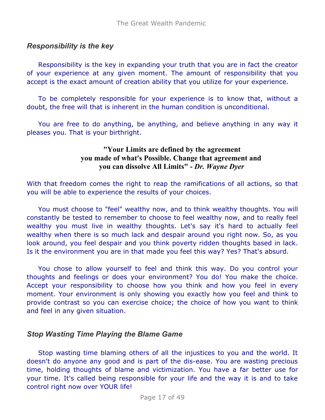## *Responsibility is the key*

Responsibility is the key in expanding your truth that you are in fact the creator of your experience at any given moment. The amount of responsibility that you accept is the exact amount of creation ability that you utilize for your experience.

To be completely responsible for your experience is to know that, without a doubt, the free will that is inherent in the human condition is unconditional.

You are free to do anything, be anything, and believe anything in any way it pleases you. That is your birthright.

## **"Your Limits are defined by the agreement you made of what's Possible. Change that agreement and you can dissolve All Limits" -** *Dr. Wayne Dyer*

With that freedom comes the right to reap the ramifications of all actions, so that you will be able to experience the results of your choices.

You must choose to "feel" wealthy now, and to think wealthy thoughts. You will constantly be tested to remember to choose to feel wealthy now, and to really feel wealthy you must live in wealthy thoughts. Let's say it's hard to actually feel wealthy when there is so much lack and despair around you right now. So, as you look around, you feel despair and you think poverty ridden thoughts based in lack. Is it the environment you are in that made you feel this way? Yes? That's absurd.

You chose to allow yourself to feel and think this way. Do you control your thoughts and feelings or does your environment? You do! You make the choice. Accept your responsibility to choose how you think and how you feel in every moment. Your environment is only showing you exactly how you feel and think to provide contrast so you can exercise choice; the choice of how you want to think and feel in any given situation.

### *Stop Wasting Time Playing the Blame Game*

Stop wasting time blaming others of all the injustices to you and the world. It doesn't do anyone any good and is part of the dis-ease. You are wasting precious time, holding thoughts of blame and victimization. You have a far better use for your time. It's called being responsible for your life and the way it is and to take control right now over YOUR life!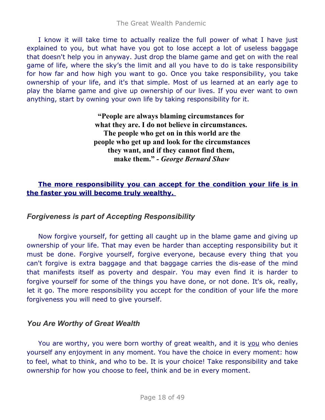I know it will take time to actually realize the full power of what I have just explained to you, but what have you got to lose accept a lot of useless baggage that doesn't help you in anyway. Just drop the blame game and get on with the real game of life, where the sky's the limit and all you have to do is take responsibility for how far and how high you want to go. Once you take responsibility, you take ownership of your life, and it's that simple. Most of us learned at an early age to play the blame game and give up ownership of our lives. If you ever want to own anything, start by owning your own life by taking responsibility for it.

> **"People are always blaming circumstances for what they are. I do not believe in circumstances. The people who get on in this world are the people who get up and look for the circumstances they want, and if they cannot find them, make them."** *- George Bernard Shaw*

## **The more responsibility you can accept for the condition your life is in the faster you will become truly wealthy.**

# *Forgiveness is part of Accepting Responsibility*

Now forgive yourself, for getting all caught up in the blame game and giving up ownership of your life. That may even be harder than accepting responsibility but it must be done. Forgive yourself, forgive everyone, because every thing that you can't forgive is extra baggage and that baggage carries the dis-ease of the mind that manifests itself as poverty and despair. You may even find it is harder to forgive yourself for some of the things you have done, or not done. It's ok, really, let it go. The more responsibility you accept for the condition of your life the more forgiveness you will need to give yourself.

# *You Are Worthy of Great Wealth*

You are worthy, you were born worthy of great wealth, and it is you who denies yourself any enjoyment in any moment. You have the choice in every moment: how to feel, what to think, and who to be. It is your choice! Take responsibility and take ownership for how you choose to feel, think and be in every moment.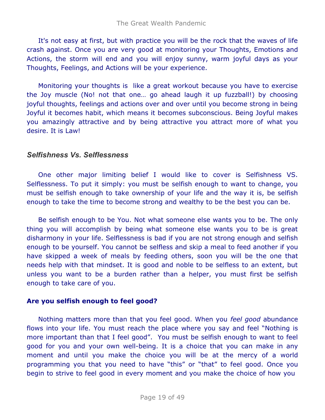It's not easy at first, but with practice you will be the rock that the waves of life crash against. Once you are very good at monitoring your Thoughts, Emotions and Actions, the storm will end and you will enjoy sunny, warm joyful days as your Thoughts, Feelings, and Actions will be your experience.

Monitoring your thoughts is like a great workout because you have to exercise the Joy muscle (No! not that one… go ahead laugh it up fuzzball!) by choosing joyful thoughts, feelings and actions over and over until you become strong in being Joyful it becomes habit, which means it becomes subconscious. Being Joyful makes you amazingly attractive and by being attractive you attract more of what you desire. It is Law!

## *Selfishness Vs. Selflessness*

One other major limiting belief I would like to cover is Selfishness VS. Selflessness. To put it simply: you must be selfish enough to want to change, you must be selfish enough to take ownership of your life and the way it is, be selfish enough to take the time to become strong and wealthy to be the best you can be.

Be selfish enough to be You. Not what someone else wants you to be. The only thing you will accomplish by being what someone else wants you to be is great disharmony in your life. Selflessness is bad if you are not strong enough and selfish enough to be yourself. You cannot be selfless and skip a meal to feed another if you have skipped a week of meals by feeding others, soon you will be the one that needs help with that mindset. It is good and noble to be selfless to an extent, but unless you want to be a burden rather than a helper, you must first be selfish enough to take care of you.

### **Are you selfish enough to feel good?**

Nothing matters more than that you feel good. When you *feel good* abundance flows into your life. You must reach the place where you say and feel "Nothing is more important than that I feel good". You must be selfish enough to want to feel good for you and your own well-being. It is a choice that you can make in any moment and until you make the choice you will be at the mercy of a world programming you that you need to have "this" or "that" to feel good. Once you begin to strive to feel good in every moment and you make the choice of how you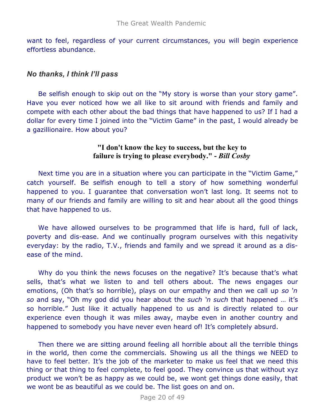want to feel, regardless of your current circumstances, you will begin experience effortless abundance.

## *No thanks, I think I'll pass*

Be selfish enough to skip out on the "My story is worse than your story game". Have you ever noticed how we all like to sit around with friends and family and compete with each other about the bad things that have happened to us? If I had a dollar for every time I joined into the "Victim Game" in the past, I would already be a gazillionaire. How about you?

### **"I don't know the key to success, but the key to failure is trying to please everybody." -** *Bill Cosby*

Next time you are in a situation where you can participate in the "Victim Game," catch yourself. Be selfish enough to tell a story of how something wonderful happened to you. I guarantee that conversation won't last long. It seems not to many of our friends and family are willing to sit and hear about all the good things that have happened to us.

We have allowed ourselves to be programmed that life is hard, full of lack, poverty and dis-ease. And we continually program ourselves with this negativity everyday: by the radio, T.V., friends and family and we spread it around as a disease of the mind.

Why do you think the news focuses on the negative? It's because that's what sells, that's what we listen to and tell others about. The news engages our emotions, (Oh that's so horrible), plays on our empathy and then we call up *so 'n so* and say, "Oh my god did you hear about the *such 'n such* that happened … it's so horrible." Just like it actually happened to us and is directly related to our experience even though it was miles away, maybe even in another country and happened to somebody you have never even heard of! It's completely absurd.

Then there we are sitting around feeling all horrible about all the terrible things in the world, then come the commercials. Showing us all the things we NEED to have to feel better. It's the job of the marketer to make us feel that we need this thing or that thing to feel complete, to feel good. They convince us that without xyz product we won't be as happy as we could be, we wont get things done easily, that we wont be as beautiful as we could be. The list goes on and on.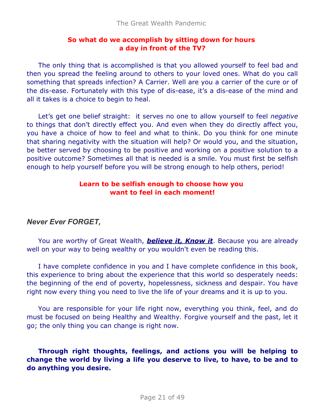## **So what do we accomplish by sitting down for hours a day in front of the TV?**

The only thing that is accomplished is that you allowed yourself to feel bad and then you spread the feeling around to others to your loved ones. What do you call something that spreads infection? A Carrier. Well are you a carrier of the cure or of the dis-ease. Fortunately with this type of dis-ease, it's a dis-ease of the mind and all it takes is a choice to begin to heal.

Let's get one belief straight: it serves no one to allow yourself to feel *negative* to things that don't directly effect you. And even when they do directly affect you, you have a choice of how to feel and what to think. Do you think for one minute that sharing negativity with the situation will help? Or would you, and the situation, be better served by choosing to be positive and working on a positive solution to a positive outcome? Sometimes all that is needed is a smile. You must first be selfish enough to help yourself before you will be strong enough to help others, period!

## **Learn to be selfish enough to choose how you want to feel in each moment!**

# *Never Ever FORGET,*

You are worthy of Great Wealth, *believe it, Know it*. Because you are already well on your way to being wealthy or you wouldn't even be reading this.

I have complete confidence in you and I have complete confidence in this book, this experience to bring about the experience that this world so desperately needs: the beginning of the end of poverty, hopelessness, sickness and despair. You have right now every thing you need to live the life of your dreams and it is up to you.

You are responsible for your life right now, everything you think, feel, and do must be focused on being Healthy and Wealthy. Forgive yourself and the past, let it go; the only thing you can change is right now.

## **Through right thoughts, feelings, and actions you will be helping to change the world by living a life you deserve to live, to have, to be and to do anything you desire.**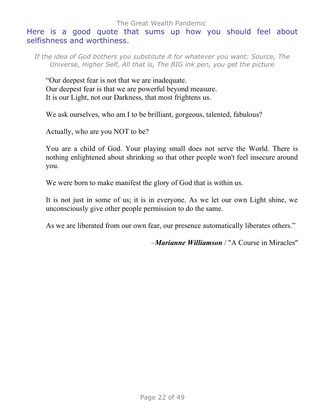#### The Great Wealth Pandemic

# Here is a good quote that sums up how you should feel about selfishness and worthiness.

*If the idea of God bothers you substitute it for whatever you want: Source, The Universe, Higher Self, All that is, The BIG ink pen, you get the picture*

"Our deepest fear is not that we are inadequate. Our deepest fear is that we are powerful beyond measure. It is our Light, not our Darkness, that most frightens us.

We ask ourselves, who am I to be brilliant, gorgeous, talented, fabulous?

Actually, who are you NOT to be?

You are a child of God. Your playing small does not serve the World. There is nothing enlightened about shrinking so that other people won't feel insecure around you.

We were born to make manifest the glory of God that is within us.

It is not just in some of us; it is in everyone. As we let our own Light shine, we unconsciously give other people permission to do the same.

As we are liberated from our own fear, our presence automatically liberates others."

–*Marianne Williamson* / "A Course in Miracles"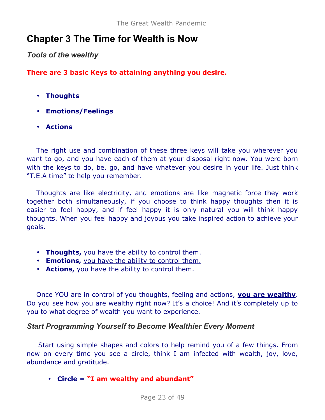# **Chapter 3 The Time for Wealth is Now**

*Tools of the wealthy*

**There are 3 basic Keys to attaining anything you desire.**

- **Thoughts**
- **Emotions/Feelings**
- **Actions**

The right use and combination of these three keys will take you wherever you want to go, and you have each of them at your disposal right now. You were born with the keys to do, be, go, and have whatever you desire in your life. Just think "T.E.A time" to help you remember.

Thoughts are like electricity, and emotions are like magnetic force they work together both simultaneously, if you choose to think happy thoughts then it is easier to feel happy, and if feel happy it is only natural you will think happy thoughts. When you feel happy and joyous you take inspired action to achieve your goals.

- **Thoughts,** you have the ability to control them.
- **Emotions,** you have the ability to control them.
- **Actions,** you have the ability to control them.

Once YOU are in control of you thoughts, feeling and actions, **you are wealthy**. Do you see how you are wealthy right now? It's a choice! And it's completely up to you to what degree of wealth you want to experience.

# *Start Programming Yourself to Become Wealthier Every Moment*

Start using simple shapes and colors to help remind you of a few things. From now on every time you see a circle, think I am infected with wealth, joy, love, abundance and gratitude.

• **Circle = "I am wealthy and abundant"**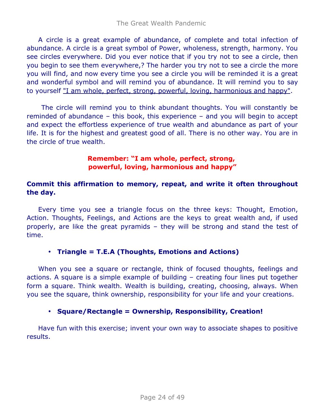A circle is a great example of abundance, of complete and total infection of abundance. A circle is a great symbol of Power, wholeness, strength, harmony. You see circles everywhere. Did you ever notice that if you try not to see a circle, then you begin to see them everywhere,? The harder you try not to see a circle the more you will find, and now every time you see a circle you will be reminded it is a great and wonderful symbol and will remind you of abundance. It will remind you to say to yourself "I am whole, perfect, strong, powerful, loving, harmonious and happy".

The circle will remind you to think abundant thoughts. You will constantly be reminded of abundance – this book, this experience – and you will begin to accept and expect the effortless experience of true wealth and abundance as part of your life. It is for the highest and greatest good of all. There is no other way. You are in the circle of true wealth.

### **Remember: "I am whole, perfect, strong, powerful, loving, harmonious and happy"**

## **Commit this affirmation to memory, repeat, and write it often throughout the day.**

Every time you see a triangle focus on the three keys: Thought, Emotion, Action. Thoughts, Feelings, and Actions are the keys to great wealth and, if used properly, are like the great pyramids – they will be strong and stand the test of time.

## • **Triangle = T.E.A (Thoughts, Emotions and Actions)**

When you see a square or rectangle, think of focused thoughts, feelings and actions. A square is a simple example of building – creating four lines put together form a square. Think wealth. Wealth is building, creating, choosing, always. When you see the square, think ownership, responsibility for your life and your creations.

## • **Square/Rectangle = Ownership, Responsibility, Creation!**

Have fun with this exercise; invent your own way to associate shapes to positive results.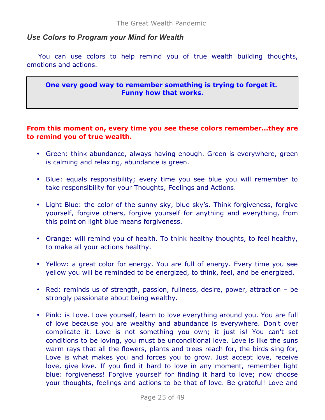# *Use Colors to Program your Mind for Wealth*

You can use colors to help remind you of true wealth building thoughts, emotions and actions.

**One very good way to remember something is trying to forget it. Funny how that works.**

### **From this moment on, every time you see these colors remember…they are to remind you of true wealth.**

- Green: think abundance, always having enough. Green is everywhere, green is calming and relaxing, abundance is green.
- Blue: equals responsibility; every time you see blue you will remember to take responsibility for your Thoughts, Feelings and Actions.
- Light Blue: the color of the sunny sky, blue sky's. Think forgiveness, forgive yourself, forgive others, forgive yourself for anything and everything, from this point on light blue means forgiveness.
- Orange: will remind you of health. To think healthy thoughts, to feel healthy, to make all your actions healthy.
- Yellow: a great color for energy. You are full of energy. Every time you see yellow you will be reminded to be energized, to think, feel, and be energized.
- Red: reminds us of strength, passion, fullness, desire, power, attraction be strongly passionate about being wealthy.
- Pink: is Love. Love yourself, learn to love everything around you. You are full of love because you are wealthy and abundance is everywhere. Don't over complicate it. Love is not something you own; it just is! You can't set conditions to be loving, you must be unconditional love. Love is like the suns warm rays that all the flowers, plants and trees reach for, the birds sing for, Love is what makes you and forces you to grow. Just accept love, receive love, give love. If you find it hard to love in any moment, remember light blue: forgiveness! Forgive yourself for finding it hard to love; now choose your thoughts, feelings and actions to be that of love. Be grateful! Love and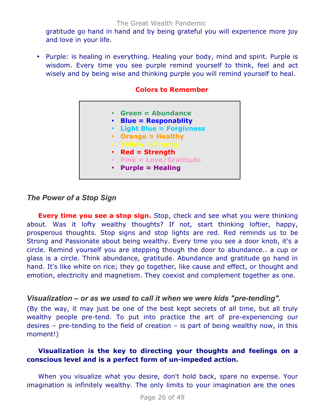gratitude go hand in hand and by being grateful you will experience more joy and love in your life.

• Purple: is healing in everything. Healing your body, mind and spirit. Purple is wisdom. Every time you see purple remind yourself to think, feel and act wisely and by being wise and thinking purple you will remind yourself to heal.

|           | • $Green = Abundance$          |
|-----------|--------------------------------|
| $\bullet$ | <b>Blue = Responablity</b>     |
|           | <b>Light Blue = Forgivness</b> |
|           | • Orange $=$ Healthy           |
|           | • Yellow = Energy              |
|           | • $Red =$ Strength             |
|           | • Pink = Love/Gratitude        |
|           | • Purple $=$ Healing           |
|           |                                |

### **Colors to Remember**

## *The Power of a Stop Sign*

**Every time you see a stop sign.** Stop, check and see what you were thinking about. Was it lofty wealthy thoughts? If not, start thinking loftier, happy, prosperous thoughts. Stop signs and stop lights are red. Red reminds us to be Strong and Passionate about being wealthy. Every time you see a door knob, it's a circle. Remind yourself you are stepping though the door to abundance.. a cup or glass is a circle. Think abundance, gratitude. Abundance and gratitude go hand in hand. It's like white on rice; they go together, like cause and effect, or thought and emotion, electricity and magnetism. They coexist and complement together as one.

### *Visualization – or as we used to call it when we were kids "pre-tending".*

(By the way, it may just be one of the best kept secrets of all time, but all truly wealthy people pre-tend. To put into practice the art of pre-experiencing our desires – pre-tending to the field of creation – is part of being wealthy now, in this moment!)

### **Visualization is the key to directing your thoughts and feelings on a conscious level and is a perfect form of un-impeded action.**

When you visualize what you desire, don't hold back, spare no expense. Your imagination is infinitely wealthy. The only limits to your imagination are the ones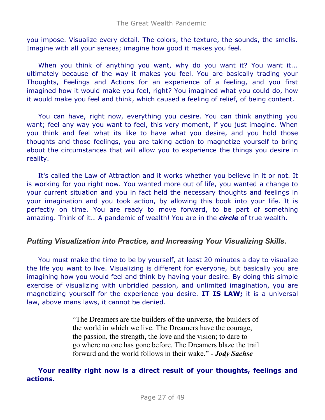you impose. Visualize every detail. The colors, the texture, the sounds, the smells. Imagine with all your senses; imagine how good it makes you feel.

When you think of anything you want, why do you want it? You want it... ultimately because of the way it makes you feel. You are basically trading your Thoughts, Feelings and Actions for an experience of a feeling, and you first imagined how it would make you feel, right? You imagined what you could do, how it would make you feel and think, which caused a feeling of relief, of being content.

You can have, right now, everything you desire. You can think anything you want; feel any way you want to feel, this very moment, if you just imagine. When you think and feel what its like to have what you desire, and you hold those thoughts and those feelings, you are taking action to magnetize yourself to bring about the circumstances that will allow you to experience the things you desire in reality.

It's called the Law of Attraction and it works whether you believe in it or not. It is working for you right now. You wanted more out of life, you wanted a change to your current situation and you in fact held the necessary thoughts and feelings in your imagination and you took action, by allowing this book into your life. It is perfectly on time. You are ready to move forward, to be part of something amazing. Think of it… A pandemic of wealth! You are in the *circle* of true wealth.

# *Putting Visualization into Practice, and Increasing Your Visualizing Skills.*

You must make the time to be by yourself, at least 20 minutes a day to visualize the life you want to live. Visualizing is different for everyone, but basically you are imagining how you would feel and think by having your desire. By doing this simple exercise of visualizing with unbridled passion, and unlimited imagination, you are magnetizing yourself for the experience you desire. **IT IS LAW;** it is a universal law, above mans laws, it cannot be denied.

> "The Dreamers are the builders of the universe, the builders of the world in which we live. The Dreamers have the courage, the passion, the strength, the love and the vision; to dare to go where no one has gone before. The Dreamers blaze the trail forward and the world follows in their wake." - *Jody Sachse*

## **Your reality right now is a direct result of your thoughts, feelings and actions.**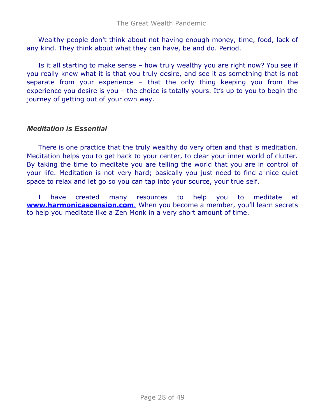Wealthy people don't think about not having enough money, time, food, lack of any kind. They think about what they can have, be and do. Period.

Is it all starting to make sense – how truly wealthy you are right now? You see if you really knew what it is that you truly desire, and see it as something that is not separate from your experience – that the only thing keeping you from the experience you desire is you – the choice is totally yours. It's up to you to begin the journey of getting out of your own way.

## *Meditation is Essential*

There is one practice that the truly wealthy do very often and that is meditation. Meditation helps you to get back to your center, to clear your inner world of clutter. By taking the time to meditate you are telling the world that you are in control of your life. Meditation is not very hard; basically you just need to find a nice quiet space to relax and let go so you can tap into your source, your true self.

I have created many resources to help you to meditate at **www[.](http://www.harmonicascension.com/?go=9b6a48a4)harmonicascension.com**. When you become a member, you'll learn secrets to help you meditate like a Zen Monk in a very short amount of time.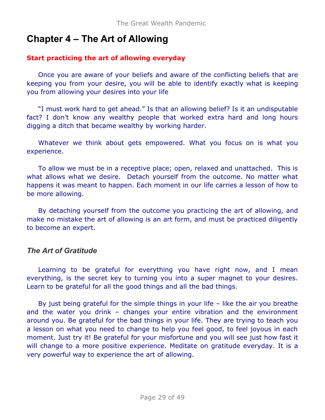# **Chapter 4 – The Art of Allowing**

## **Start practicing the art of allowing everyday**

Once you are aware of your beliefs and aware of the conflicting beliefs that are keeping you from your desire, you will be able to identify exactly what is keeping you from allowing your desires into your life

"I must work hard to get ahead." Is that an allowing belief? Is it an undisputable fact? I don't know any wealthy people that worked extra hard and long hours digging a ditch that became wealthy by working harder.

Whatever we think about gets empowered. What you focus on is what you experience.

To allow we must be in a receptive place; open, relaxed and unattached. This is what allows what we desire. Detach yourself from the outcome. No matter what happens it was meant to happen. Each moment in our life carries a lesson of how to be more allowing.

By detaching yourself from the outcome you practicing the art of allowing, and make no mistake the art of allowing is an art form, and must be practiced diligently to become an expert.

# *The Art of Gratitude*

Learning to be grateful for everything you have right now, and I mean everything, is the secret key to turning you into a super magnet to your desires. Learn to be grateful for all the good things and all the bad things.

By just being grateful for the simple things in your life – like the air you breathe and the water you drink – changes your entire vibration and the environment around you. Be grateful for the bad things in your life. They are trying to teach you a lesson on what you need to change to help you feel good, to feel joyous in each moment. Just try it! Be grateful for your misfortune and you will see just how fast it will change to a more positive experience. Meditate on gratitude everyday. It is a very powerful way to experience the art of allowing.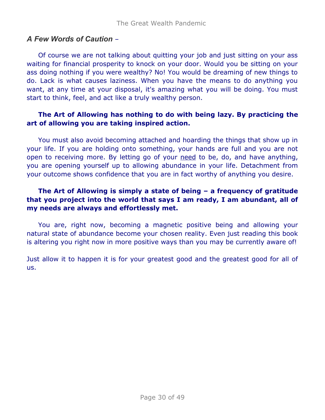# *A Few Words of Caution* –

Of course we are not talking about quitting your job and just sitting on your ass waiting for financial prosperity to knock on your door. Would you be sitting on your ass doing nothing if you were wealthy? No! You would be dreaming of new things to do. Lack is what causes laziness. When you have the means to do anything you want, at any time at your disposal, it's amazing what you will be doing. You must start to think, feel, and act like a truly wealthy person.

## **The Art of Allowing has nothing to do with being lazy. By practicing the art of allowing you are taking inspired action.**

You must also avoid becoming attached and hoarding the things that show up in your life. If you are holding onto something, your hands are full and you are not open to receiving more. By letting go of your need to be, do, and have anything, you are opening yourself up to allowing abundance in your life. Detachment from your outcome shows confidence that you are in fact worthy of anything you desire.

## **The Art of Allowing is simply a state of being – a frequency of gratitude that you project into the world that says I am ready, I am abundant, all of my needs are always and effortlessly met.**

You are, right now, becoming a magnetic positive being and allowing your natural state of abundance become your chosen reality. Even just reading this book is altering you right now in more positive ways than you may be currently aware of!

Just allow it to happen it is for your greatest good and the greatest good for all of us.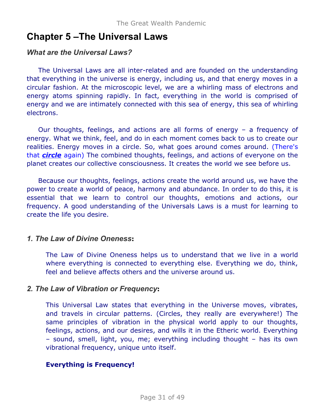# **Chapter 5 –The Universal Laws**

# *What are the Universal Laws?*

The Universal Laws are all inter-related and are founded on the understanding that everything in the universe is energy, including us, and that energy moves in a circular fashion. At the microscopic level, we are a whirling mass of electrons and energy atoms spinning rapidly. In fact, everything in the world is comprised of energy and we are intimately connected with this sea of energy, this sea of whirling electrons.

Our thoughts, feelings, and actions are all forms of energy – a frequency of energy. What we think, feel, and do in each moment comes back to us to create our realities. Energy moves in a circle. So, what goes around comes around. (There's that *circle* again) The combined thoughts, feelings, and actions of everyone on the planet creates our collective consciousness. It creates the world we see before us.

Because our thoughts, feelings, actions create the world around us, we have the power to create a world of peace, harmony and abundance. In order to do this, it is essential that we learn to control our thoughts, emotions and actions, our frequency. A good understanding of the Universals Laws is a must for learning to create the life you desire.

# *1. The Law of Divine Oneness***:**

The Law of Divine Oneness helps us to understand that we live in a world where everything is connected to everything else. Everything we do, think, feel and believe affects others and the universe around us.

# *2. The Law of Vibration or Frequency***:**

This Universal Law states that everything in the Universe moves, vibrates, and travels in circular patterns. (Circles, they really are everywhere!) The same principles of vibration in the physical world apply to our thoughts, feelings, actions, and our desires, and wills it in the Etheric world. Everything – sound, smell, light, you, me; everything including thought – has its own vibrational frequency, unique unto itself.

# **Everything is Frequency!**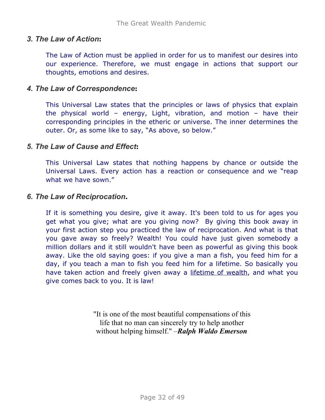## *3. The Law of Action***:**

The Law of Action must be applied in order for us to manifest our desires into our experience. Therefore, we must engage in actions that support our thoughts, emotions and desires.

### *4. The Law of Correspondence***:**

This Universal Law states that the principles or laws of physics that explain the physical world – energy, Light, vibration, and motion – have their corresponding principles in the etheric or universe. The inner determines the outer. Or, as some like to say, "As above, so below."

### *5. The Law of Cause and Effect***:**

This Universal Law states that nothing happens by chance or outside the Universal Laws. Every action has a reaction or consequence and we "reap what we have sown."

### *6. The Law of Reciprocation***.**

If it is something you desire, give it away. It's been told to us for ages you get what you give; what are you giving now? By giving this book away in your first action step you practiced the law of reciprocation. And what is that you gave away so freely? Wealth! You could have just given somebody a million dollars and it still wouldn't have been as powerful as giving this book away. Like the old saying goes: if you give a man a fish, you feed him for a day, if you teach a man to fish you feed him for a lifetime. So basically you have taken action and freely given away a lifetime of wealth, and what you give comes back to you. It is law!

> "It is one of the most beautiful compensations of this life that no man can sincerely try to help another without helping himself." –*Ralph Waldo Emerson*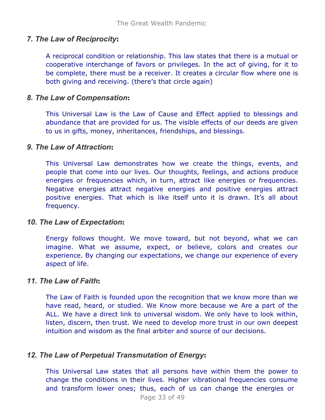## *7. The Law of Reciprocity***:**

A reciprocal condition or relationship. This law states that there is a mutual or cooperative interchange of favors or privileges. In the act of giving, for it to be complete, there must be a receiver. It creates a circular flow where one is both giving and receiving. (there's that circle again)

## *8. The Law of Compensation***:**

This Universal Law is the Law of Cause and Effect applied to blessings and abundance that are provided for us. The visible effects of our deeds are given to us in gifts, money, inheritances, friendships, and blessings.

### *9. The Law of Attraction***:**

This Universal Law demonstrates how we create the things, events, and people that come into our lives. Our thoughts, feelings, and actions produce energies or frequencies which, in turn, attract like energies or frequencies. Negative energies attract negative energies and positive energies attract positive energies. That which is like itself unto it is drawn. It's all about frequency.

## *10. The Law of Expectation***:**

Energy follows thought. We move toward, but not beyond, what we can imagine. What we assume, expect, or believe, colors and creates our experience. By changing our expectations, we change our experience of every aspect of life.

### *11. The Law of Faith***:**

The Law of Faith is founded upon the recognition that we know more than we have read, heard, or studied. We Know more because we Are a part of the ALL. We have a direct link to universal wisdom. We only have to look within, listen, discern, then trust. We need to develop more trust in our own deepest intuition and wisdom as the final arbiter and source of our decisions.

## *12. The Law of Perpetual Transmutation of Energy***:**

This Universal Law states that all persons have within them the power to change the conditions in their lives. Higher vibrational frequencies consume and transform lower ones; thus, each of us can change the energies or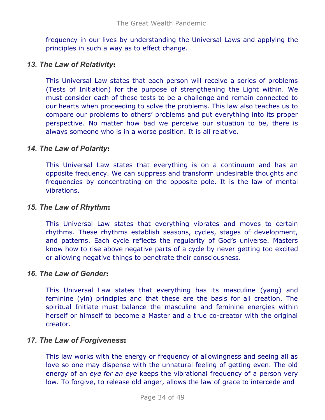frequency in our lives by understanding the Universal Laws and applying the principles in such a way as to effect change.

### *13. The Law of Relativity***:**

This Universal Law states that each person will receive a series of problems (Tests of Initiation) for the purpose of strengthening the Light within. We must consider each of these tests to be a challenge and remain connected to our hearts when proceeding to solve the problems. This law also teaches us to compare our problems to others' problems and put everything into its proper perspective. No matter how bad we perceive our situation to be, there is always someone who is in a worse position. It is all relative.

### *14. The Law of Polarity***:**

This Universal Law states that everything is on a continuum and has an opposite frequency. We can suppress and transform undesirable thoughts and frequencies by concentrating on the opposite pole. It is the law of mental vibrations.

### *15. The Law of Rhythm***:**

This Universal Law states that everything vibrates and moves to certain rhythms. These rhythms establish seasons, cycles, stages of development, and patterns. Each cycle reflects the regularity of God's universe. Masters know how to rise above negative parts of a cycle by never getting too excited or allowing negative things to penetrate their consciousness.

### *16. The Law of Gender***:**

This Universal Law states that everything has its masculine (yang) and feminine (yin) principles and that these are the basis for all creation. The spiritual Initiate must balance the masculine and feminine energies within herself or himself to become a Master and a true co-creator with the original creator.

### *17. The Law of Forgiveness***:**

This law works with the energy or frequency of allowingness and seeing all as love so one may dispense with the unnatural feeling of getting even. The old energy of an *eye for an eye* keeps the vibrational frequency of a person very low. To forgive, to release old anger, allows the law of grace to intercede and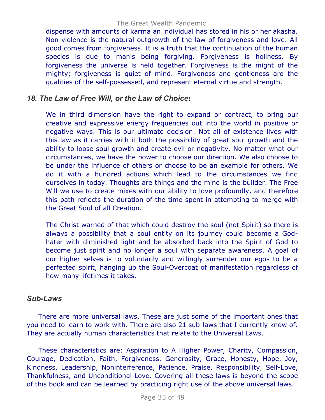dispense with amounts of karma an individual has stored in his or her akasha. Non-violence is the natural outgrowth of the law of forgiveness and love. All good comes from forgiveness. It is a truth that the continuation of the human species is due to man's being forgiving. Forgiveness is holiness. By forgiveness the universe is held together. Forgiveness is the might of the mighty; forgiveness is quiet of mind. Forgiveness and gentleness are the qualities of the self-possessed, and represent eternal virtue and strength.

# *18. The Law of Free Will, or the Law of Choice***:**

We in third dimension have the right to expand or contract, to bring our creative and expressive energy frequencies out into the world in positive or negative ways. This is our ultimate decision. Not all of existence lives with this law as it carries with it both the possibility of great soul growth and the ability to loose soul growth and create evil or negativity. No matter what our circumstances, we have the power to choose our direction. We also choose to be under the influence of others or choose to be an example for others. We do it with a hundred actions which lead to the circumstances we find ourselves in today. Thoughts are things and the mind is the builder. The Free Will we use to create mixes with our ability to love profoundly, and therefore this path reflects the duration of the time spent in attempting to merge with the Great Soul of all Creation.

The Christ warned of that which could destroy the soul (not Spirit) so there is always a possibility that a soul entity on its journey could become a Godhater with diminished light and be absorbed back into the Spirit of God to become just spirit and no longer a soul with separate awareness. A goal of our higher selves is to voluntarily and willingly surrender our egos to be a perfected spirit, hanging up the Soul-Overcoat of manifestation regardless of how many lifetimes it takes.

## *Sub-Laws*

There are more universal laws. These are just some of the important ones that you need to learn to work with. There are also 21 sub-laws that I currently know of. They are actually human characteristics that relate to the Universal Laws.

These characteristics are: Aspiration to A Higher Power, Charity, Compassion, Courage, Dedication, Faith, Forgiveness, Generosity, Grace, Honesty, Hope, Joy, Kindness, Leadership, Noninterference, Patience, Praise, Responsibility, Self-Love, Thankfulness, and Unconditional Love. Covering all these laws is beyond the scope of this book and can be learned by practicing right use of the above universal laws.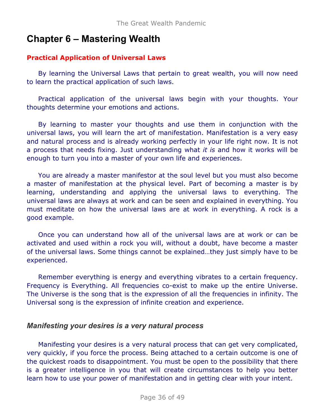# **Chapter 6 – Mastering Wealth**

# **Practical Application of Universal Laws**

By learning the Universal Laws that pertain to great wealth, you will now need to learn the practical application of such laws.

Practical application of the universal laws begin with your thoughts. Your thoughts determine your emotions and actions.

By learning to master your thoughts and use them in conjunction with the universal laws, you will learn the art of manifestation. Manifestation is a very easy and natural process and is already working perfectly in your life right now. It is not a process that needs fixing. Just understanding what *it is* and how it works will be enough to turn you into a master of your own life and experiences.

You are already a master manifestor at the soul level but you must also become a master of manifestation at the physical level. Part of becoming a master is by learning, understanding and applying the universal laws to everything. The universal laws are always at work and can be seen and explained in everything. You must meditate on how the universal laws are at work in everything. A rock is a good example.

Once you can understand how all of the universal laws are at work or can be activated and used within a rock you will, without a doubt, have become a master of the universal laws. Some things cannot be explained…they just simply have to be experienced.

Remember everything is energy and everything vibrates to a certain frequency. Frequency is Everything. All frequencies co-exist to make up the entire Universe. The Universe is the song that is the expression of all the frequencies in infinity. The Universal song is the expression of infinite creation and experience.

# *Manifesting your desires is a very natural process*

Manifesting your desires is a very natural process that can get very complicated, very quickly, if you force the process. Being attached to a certain outcome is one of the quickest roads to disappointment. You must be open to the possibility that there is a greater intelligence in you that will create circumstances to help you better learn how to use your power of manifestation and in getting clear with your intent.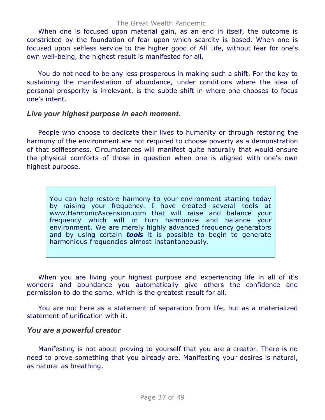#### The Great Wealth Pandemic

When one is focused upon material gain, as an end in itself, the outcome is constricted by the foundation of fear upon which scarcity is based. When one is focused upon selfless service to the higher good of All Life, without fear for one's own well-being, the highest result is manifested for all.

You do not need to be any less prosperous in making such a shift. For the key to sustaining the manifestation of abundance, under conditions where the idea of personal prosperity is irrelevant, is the subtle shift in where one chooses to focus one's intent.

#### *Live your highest purpose in each moment.*

People who choose to dedicate their lives to humanity or through restoring the harmony of the environment are not required to choose poverty as a demonstration of that selflessness. Circumstances will manifest quite naturally that would ensure the physical comforts of those in question when one is aligned with one's own highest purpose.

You can help restore harmony to your environment starting today by raising your frequency. I have created several tools at [www.HarmonicAscension.com](http://www.harmonicascension.com/?go=9b6a48a4) that will raise and balance your frequency which will in turn harmonize and balance your environment. We are merely highly advanced frequency generators and by using certain *tools* it is possible to begin to generate harmonious frequencies almost instantaneously.

When you are living your highest purpose and experiencing life in all of it's wonders and abundance you automatically give others the confidence and permission to do the same, which is the greatest result for all.

You are not here as a statement of separation from life, but as a materialized statement of unification with it.

#### *You are a powerful creator*

Manifesting is not about proving to yourself that you are a creator. There is no need to prove something that you already are. Manifesting your desires is natural, as natural as breathing.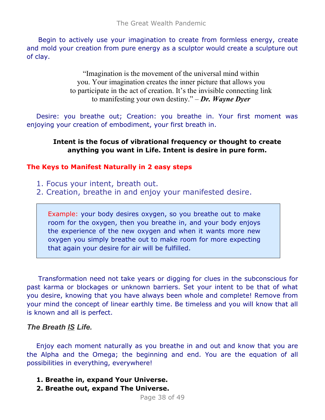Begin to actively use your imagination to create from formless energy, create and mold your creation from pure energy as a sculptor would create a sculpture out of clay.

> "Imagination is the movement of the universal mind within you. Your imagination creates the inner picture that allows you to participate in the act of creation. It's the invisible connecting link to manifesting your own destiny." – *Dr. Wayne Dyer*

Desire: you breathe out; Creation: you breathe in. Your first moment was enjoying your creation of embodiment, your first breath in.

## **Intent is the focus of vibrational frequency or thought to create anything you want in Life. Intent is desire in pure form.**

### **The Keys to Manifest Naturally in 2 easy steps**

- 1. Focus your intent, breath out.
- 2. Creation, breathe in and enjoy your manifested desire.

Example: your body desires oxygen, so you breathe out to make room for the oxygen, then you breathe in, and your body enjoys the experience of the new oxygen and when it wants more new oxygen you simply breathe out to make room for more expecting that again your desire for air will be fulfilled.

Transformation need not take years or digging for clues in the subconscious for past karma or blockages or unknown barriers. Set your intent to be that of what you desire, knowing that you have always been whole and complete! Remove from your mind the concept of linear earthly time. Be timeless and you will know that all is known and all is perfect.

## *The Breath IS Life.*

Enjoy each moment naturally as you breathe in and out and know that you are the Alpha and the Omega; the beginning and end. You are the equation of all possibilities in everything, everywhere!

- **1. Breathe in, expand Your Universe.**
- **2. Breathe out, expand The Universe.**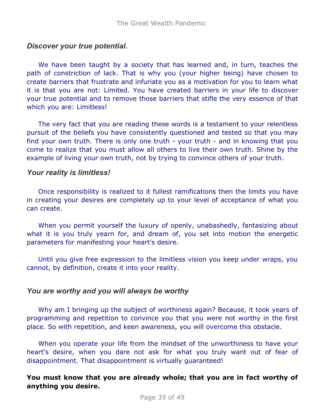## *Discover your true potential.*

We have been taught by a society that has learned and, in turn, teaches the path of constriction of lack. That is why you (your higher being) have chosen to create barriers that frustrate and infuriate you as a motivation for you to learn what it is that you are not: Limited. You have created barriers in your life to discover your true potential and to remove those barriers that stifle the very essence of that which you are: Limitless!

The very fact that you are reading these words is a testament to your relentless pursuit of the beliefs you have consistently questioned and tested so that you may find your own truth. There is only one truth - your truth - and in knowing that you come to realize that you must allow all others to live their own truth. Shine by the example of living your own truth, not by trying to convince others of your truth.

### *Your reality is limitless!*

Once responsibility is realized to it fullest ramifications then the limits you have in creating your desires are completely up to your level of acceptance of what you can create.

When you permit yourself the luxury of openly, unabashedly, fantasizing about what it is you truly yearn for, and dream of, you set into motion the energetic parameters for manifesting your heart's desire.

Until you give free expression to the limitless vision you keep under wraps, you cannot, by definition, create it into your reality.

## *You are worthy and you will always be worthy*

Why am I bringing up the subject of worthiness again? Because, it took years of programming and repetition to convince you that you were not worthy in the first place. So with repetition, and keen awareness, you will overcome this obstacle.

When you operate your life from the mindset of the unworthiness to have your heart's desire, when you dare not ask for what you truly want out of fear of disappointment. That disappointment is virtually guaranteed!

## **You must know that you are already whole; that you are in fact worthy of anything you desire.**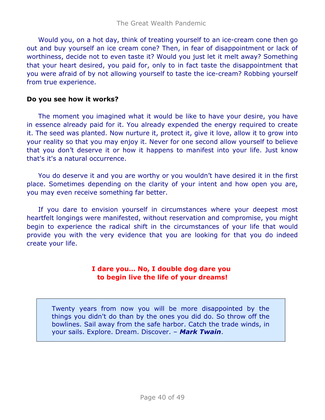Would you, on a hot day, think of treating yourself to an ice-cream cone then go out and buy yourself an ice cream cone? Then, in fear of disappointment or lack of worthiness, decide not to even taste it? Would you just let it melt away? Something that your heart desired, you paid for, only to in fact taste the disappointment that you were afraid of by not allowing yourself to taste the ice-cream? Robbing yourself from true experience.

### **Do you see how it works?**

The moment you imagined what it would be like to have your desire, you have in essence already paid for it. You already expended the energy required to create it. The seed was planted. Now nurture it, protect it, give it love, allow it to grow into your reality so that you may enjoy it. Never for one second allow yourself to believe that you don't deserve it or how it happens to manifest into your life. Just know that's it's a natural occurrence.

You do deserve it and you are worthy or you wouldn't have desired it in the first place. Sometimes depending on the clarity of your intent and how open you are, you may even receive something far better.

If you dare to envision yourself in circumstances where your deepest most heartfelt longings were manifested, without reservation and compromise, you might begin to experience the radical shift in the circumstances of your life that would provide you with the very evidence that you are looking for that you do indeed create your life.

### **I dare you… No, I double dog dare you to begin live the life of your dreams!**

Twenty years from now you will be more disappointed by the things you didn't do than by the ones you did do. So throw off the bowlines. Sail away from the safe harbor. Catch the trade winds, in your sails. Explore. Dream. Discover. – *Mark Twain*.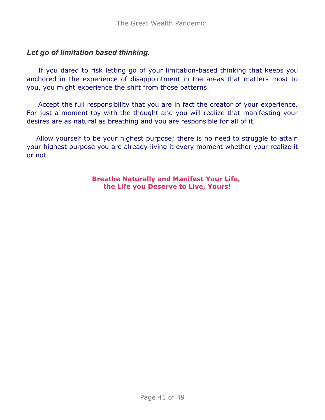## *Let go of limitation based thinking.*

If you dared to risk letting go of your limitation-based thinking that keeps you anchored in the experience of disappointment in the areas that matters most to you, you might experience the shift from those patterns.

Accept the full responsibility that you are in fact the creator of your experience. For just a moment toy with the thought and you will realize that manifesting your desires are as natural as breathing and you are responsible for all of it.

Allow yourself to be your highest purpose; there is no need to struggle to attain your highest purpose you are already living it every moment whether your realize it or not.

> **Breathe Naturally and Manifest Your Life, the Life you Deserve to Live, Yours!**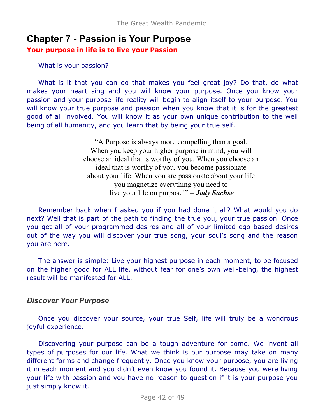# **Chapter 7 - Passion is Your Purpose**

**Your purpose in life is to live your Passion**

What is your passion?

What is it that you can do that makes you feel great joy? Do that, do what makes your heart sing and you will know your purpose. Once you know your passion and your purpose life reality will begin to align itself to your purpose. You will know your true purpose and passion when you know that it is for the greatest good of all involved. You will know it as your own unique contribution to the well being of all humanity, and you learn that by being your true self.

> "A Purpose is always more compelling than a goal. When you keep your higher purpose in mind, you will choose an ideal that is worthy of you. When you choose an ideal that is worthy of you, you become passionate about your life. When you are passionate about your life you magnetize everything you need to live your life on purpose!" **–** *Jody Sachse*

Remember back when I asked you if you had done it all? What would you do next? Well that is part of the path to finding the true you, your true passion. Once you get all of your programmed desires and all of your limited ego based desires out of the way you will discover your true song, your soul's song and the reason you are here.

The answer is simple: Live your highest purpose in each moment, to be focused on the higher good for ALL life, without fear for one's own well-being, the highest result will be manifested for ALL.

## *Discover Your Purpose*

Once you discover your source, your true Self, life will truly be a wondrous joyful experience.

Discovering your purpose can be a tough adventure for some. We invent all types of purposes for our life. What we think is our purpose may take on many different forms and change frequently. Once you know your purpose, you are living it in each moment and you didn't even know you found it. Because you were living your life with passion and you have no reason to question if it is your purpose you just simply know it.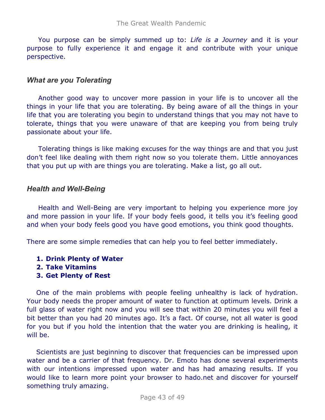You purpose can be simply summed up to: *Life is a Journey* and it is your purpose to fully experience it and engage it and contribute with your unique perspective.

### *What are you Tolerating*

Another good way to uncover more passion in your life is to uncover all the things in your life that you are tolerating. By being aware of all the things in your life that you are tolerating you begin to understand things that you may not have to tolerate, things that you were unaware of that are keeping you from being truly passionate about your life.

Tolerating things is like making excuses for the way things are and that you just don't feel like dealing with them right now so you tolerate them. Little annoyances that you put up with are things you are tolerating. Make a list, go all out.

### *Health and Well-Being*

Health and Well-Being are very important to helping you experience more joy and more passion in your life. If your body feels good, it tells you it's feeling good and when your body feels good you have good emotions, you think good thoughts.

There are some simple remedies that can help you to feel better immediately.

- **1. Drink Plenty of Water**
- **2. Take Vitamins**
- **3. Get Plenty of Rest**

One of the main problems with people feeling unhealthy is lack of hydration. Your body needs the proper amount of water to function at optimum levels. Drink a full glass of water right now and you will see that within 20 minutes you will feel a bit better than you had 20 minutes ago. It's a fact. Of course, not all water is good for you but if you hold the intention that the water you are drinking is healing, it will be.

Scientists are just beginning to discover that frequencies can be impressed upon water and be a carrier of that frequency. Dr. Emoto has done several experiments with our intentions impressed upon water and has had amazing results. If you would like to learn more point your browser to hado.net and discover for yourself something truly amazing.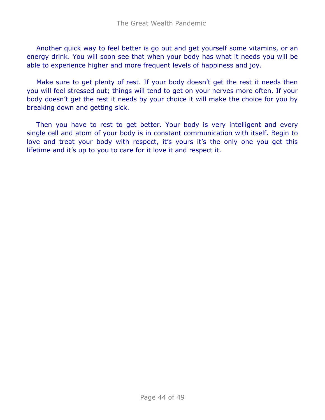Another quick way to feel better is go out and get yourself some vitamins, or an energy drink. You will soon see that when your body has what it needs you will be able to experience higher and more frequent levels of happiness and joy.

Make sure to get plenty of rest. If your body doesn't get the rest it needs then you will feel stressed out; things will tend to get on your nerves more often. If your body doesn't get the rest it needs by your choice it will make the choice for you by breaking down and getting sick.

Then you have to rest to get better. Your body is very intelligent and every single cell and atom of your body is in constant communication with itself. Begin to love and treat your body with respect, it's yours it's the only one you get this lifetime and it's up to you to care for it love it and respect it.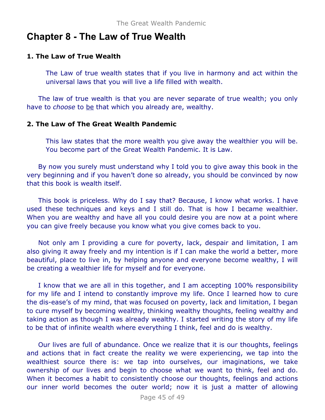# **Chapter 8 - The Law of True Wealth**

### **1. The Law of True Wealth**

The Law of true wealth states that if you live in harmony and act within the universal laws that you will live a life filled with wealth.

The law of true wealth is that you are never separate of true wealth; you only have to *choose* to be that which you already are, wealthy.

### **2. The Law of The Great Wealth Pandemic**

This law states that the more wealth you give away the wealthier you will be. You become part of the Great Wealth Pandemic. It is Law.

By now you surely must understand why I told you to give away this book in the very beginning and if you haven't done so already, you should be convinced by now that this book is wealth itself.

This book is priceless. Why do I say that? Because, I know what works. I have used these techniques and keys and I still do. That is how I became wealthier. When you are wealthy and have all you could desire you are now at a point where you can give freely because you know what you give comes back to you.

Not only am I providing a cure for poverty, lack, despair and limitation, I am also giving it away freely and my intention is if I can make the world a better, more beautiful, place to live in, by helping anyone and everyone become wealthy, I will be creating a wealthier life for myself and for everyone.

I know that we are all in this together, and I am accepting 100% responsibility for my life and I intend to constantly improve my life. Once I learned how to cure the dis-ease's of my mind, that was focused on poverty, lack and limitation, I began to cure myself by becoming wealthy, thinking wealthy thoughts, feeling wealthy and taking action as though I was already wealthy. I started writing the story of my life to be that of infinite wealth where everything I think, feel and do is wealthy.

Our lives are full of abundance. Once we realize that it is our thoughts, feelings and actions that in fact create the reality we were experiencing, we tap into the wealthiest source there is: we tap into ourselves, our imaginations, we take ownership of our lives and begin to choose what we want to think, feel and do. When it becomes a habit to consistently choose our thoughts, feelings and actions our inner world becomes the outer world; now it is just a matter of allowing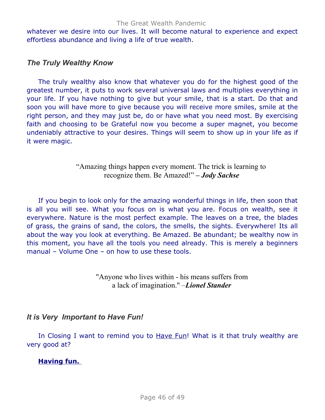whatever we desire into our lives. It will become natural to experience and expect effortless abundance and living a life of true wealth.

## *The Truly Wealthy Know*

The truly wealthy also know that whatever you do for the highest good of the greatest number, it puts to work several universal laws and multiplies everything in your life. If you have nothing to give but your smile, that is a start. Do that and soon you will have more to give because you will receive more smiles, smile at the right person, and they may just be, do or have what you need most. By exercising faith and choosing to be Grateful now you become a super magnet, you become undeniably attractive to your desires. Things will seem to show up in your life as if it were magic.

## "Amazing things happen every moment. The trick is learning to recognize them. Be Amazed!" **–** *Jody Sachse*

If you begin to look only for the amazing wonderful things in life, then soon that is all you will see. What you focus on is what you are. Focus on wealth, see it everywhere. Nature is the most perfect example. The leaves on a tree, the blades of grass, the grains of sand, the colors, the smells, the sights. Everywhere! Its all about the way you look at everything. Be Amazed. Be abundant; be wealthy now in this moment, you have all the tools you need already. This is merely a beginners manual – Volume One – on how to use these tools.

> "Anyone who lives within - his means suffers from a lack of imagination." –*Lionel Stander*

# *It is Very Important to Have Fun!*

In Closing I want to remind you to Have Fun! What is it that truly wealthy are very good at?

## **Having fun.**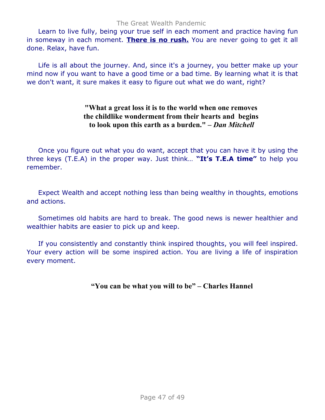Learn to live fully, being your true self in each moment and practice having fun in someway in each moment. **There is no rush.** You are never going to get it all done. Relax, have fun.

Life is all about the journey. And, since it's a journey, you better make up your mind now if you want to have a good time or a bad time. By learning what it is that we don't want, it sure makes it easy to figure out what we do want, right?

## **"What a great loss it is to the world when one removes the childlike wonderment from their hearts and begins to look upon this earth as a burden." –** *Dan Mitchell*

Once you figure out what you do want, accept that you can have it by using the three keys (T.E.A) in the proper way. Just think… **"It's T.E.A time"** to help you remember.

Expect Wealth and accept nothing less than being wealthy in thoughts, emotions and actions.

Sometimes old habits are hard to break. The good news is newer healthier and wealthier habits are easier to pick up and keep.

If you consistently and constantly think inspired thoughts, you will feel inspired. Your every action will be some inspired action. You are living a life of inspiration every moment.

### **"You can be what you will to be" – Charles Hannel**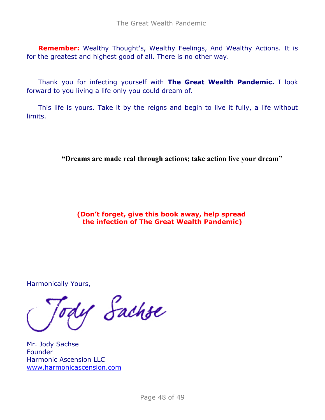**Remember:** Wealthy Thought's, Wealthy Feelings, And Wealthy Actions. It is for the greatest and highest good of all. There is no other way.

Thank you for infecting yourself with **The Great Wealth Pandemic.** I look forward to you living a life only you could dream of.

This life is yours. Take it by the reigns and begin to live it fully, a life without limits.

**"Dreams are made real through actions; take action live your dream"**

**(Don't forget, give this book away, help spread the infection of The Great Wealth Pandemic)**

Harmonically Yours,

ly Sachse

Mr. Jody Sachse Founder Harmonic Ascension LLC [www.harmonicascension.com](http://www.harmonicascension.com/?go=9b6a48a4)